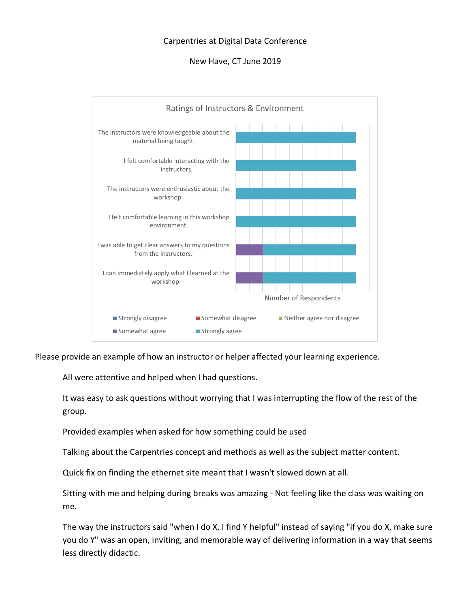## Carpentries at Digital Data Conference

# New Have, CT June 2019



Please provide an example of how an instructor or helper affected your learning experience.

All were attentive and helped when I had questions.

It was easy to ask questions without worrying that I was interrupting the flow of the rest of the group.

Provided examples when asked for how something could be used

Talking about the Carpentries concept and methods as well as the subject matter content.

Quick fix on finding the ethernet site meant that I wasn't slowed down at all.

Sitting with me and helping during breaks was amazing - Not feeling like the class was waiting on me.

The way the instructors said "when I do X, I find Y helpful" instead of saying "if you do X, make sure you do Y" was an open, inviting, and memorable way of delivering information in a way that seems less directly didactic.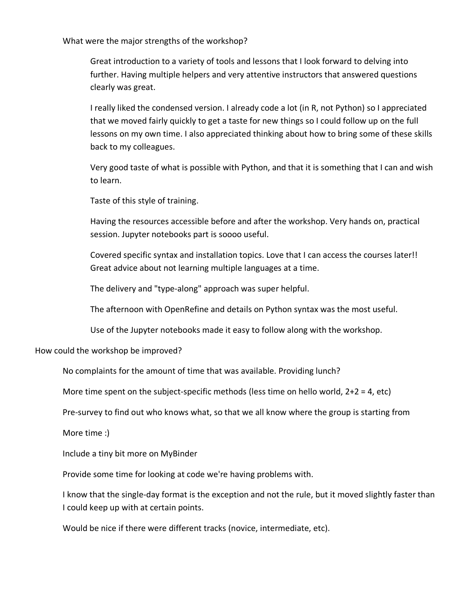What were the major strengths of the workshop?

Great introduction to a variety of tools and lessons that I look forward to delving into further. Having multiple helpers and very attentive instructors that answered questions clearly was great.

I really liked the condensed version. I already code a lot (in R, not Python) so I appreciated that we moved fairly quickly to get a taste for new things so I could follow up on the full lessons on my own time. I also appreciated thinking about how to bring some of these skills back to my colleagues.

Very good taste of what is possible with Python, and that it is something that I can and wish to learn.

Taste of this style of training.

Having the resources accessible before and after the workshop. Very hands on, practical session. Jupyter notebooks part is soooo useful.

Covered specific syntax and installation topics. Love that I can access the courses later!! Great advice about not learning multiple languages at a time.

The delivery and "type-along" approach was super helpful.

The afternoon with OpenRefine and details on Python syntax was the most useful.

Use of the Jupyter notebooks made it easy to follow along with the workshop.

How could the workshop be improved?

No complaints for the amount of time that was available. Providing lunch?

More time spent on the subject-specific methods (less time on hello world,  $2+2 = 4$ , etc)

Pre-survey to find out who knows what, so that we all know where the group is starting from

More time :)

Include a tiny bit more on MyBinder

Provide some time for looking at code we're having problems with.

I know that the single-day format is the exception and not the rule, but it moved slightly faster than I could keep up with at certain points.

Would be nice if there were different tracks (novice, intermediate, etc).